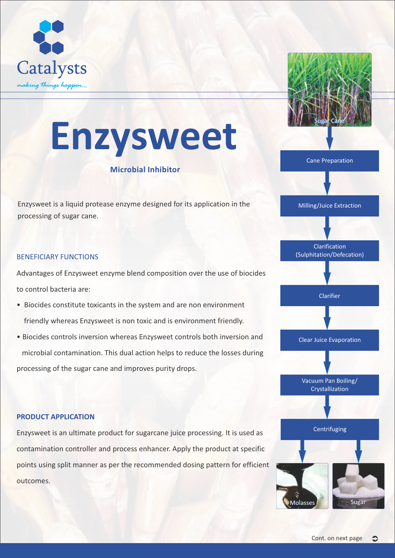



# **Enzysweet**

### **Microbial Inhibitor**

Enzysweet is a liquid protease enzyme designed for its application in the processing of sugar cane.

#### BENEFICIARY FUNCTIONS

Advantages of Enzysweet enzyme blend composition over the use of biocides to control bacteria are:

- Biocides constitute toxicants in the system and are non environment friendly whereas Enzysweet is non toxic and is environment friendly.
- Biocides controls inversion whereas Enzysweet controls both inversion and microbial contamination. This dual action helps to reduce the losses during processing of the sugar cane and improves purity drops.

#### **PRODUCT APPLICATION**

Enzysweet is an ultimate product for sugarcane juice processing. It is used as contamination controller and process enhancer. Apply the product at specific points using split manner as per the recommended dosing pattern for efficient outcomes.

# Clarification (Sulphitation/Defecation)

Milling/Juice Extraction

Cane Preparation

**Clarifier** 

Clear Juice Evaporation

Vacuum Pan Boiling/ Crystallization

#### **Centrifuging**

Sugar Molasses